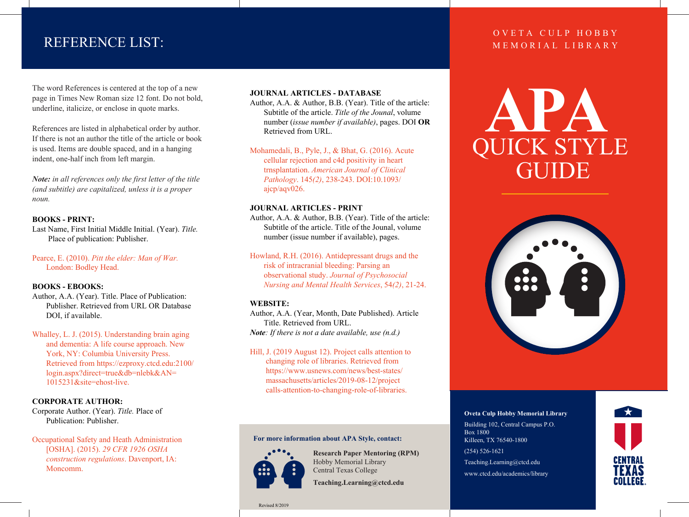# REFERENCE LIST:

The word References is centered at the top of a new page in Times New Roman size 12 font. Do not bold, underline, italicize, or enclose in quote marks.

References are listed in alphabetical order by author. If there is not an author the title of the article or book is used. Items are double spaced, and in a hanging indent, one-half inch from left margin.

*Note: in all references only the first letter of the title (and subtitle) are capitalized, unless it is a proper noun.* 

#### **BOOKS - PRINT:**

Last Name, First Initial Middle Initial. (Year). *Title.* Place of publication: Publisher.

Pearce, E. (2010). *Pitt the elder: Man of War.*  London: Bodley Head.

#### **BOOKS - EBOOKS:**

Author, A.A. (Year). Title. Place of Publication: Publisher. Retrieved from URL OR Database DOI, if available.

Whalley, L. J. (2015). Understanding brain aging and dementia: A life course approach. New York, NY: Columbia University Press. Retrieved from https://ezproxy.ctcd.edu:2100/ login.aspx?direct=true&db=nlebk&AN= 1015231&site=ehost-live.

#### **CORPORATE AUTHOR:**

Corporate Author. (Year). *Title.* Place of Publication: Publisher.

Occupational Safety and Heath Administration [OSHA]. (2015). *29 CFR 1926 OSHA construction regulations*. Davenport, IA: Moncomm.

#### **JOURNAL ARTICLES - DATABASE**

Author, A.A. & Author, B.B. (Year). Title of the article: Subtitle of the article. *Title of the Jounal*, volume number (*issue number if available)*, pages. DOI **OR** Retrieved from URL.

Mohamedali, B., Pyle, J., & Bhat, G. (2016). Acute cellular rejection and c4d positivity in heart trnsplantation. *American Journal of Clinical Pathology*. 145*(2)*, 238-243. DOI:10.1093/ ajcp/aqv026.

#### **JOURNAL ARTICLES - PRINT**

Author, A.A. & Author, B.B. (Year). Title of the article: Subtitle of the article. Title of the Jounal, volume number (issue number if available), pages.

Howland, R.H. (2016). Antidepressant drugs and the

 risk of intracranial bleeding: Parsing an observational study. *Journal of Psychosocial Nursing and Mental Health Services*, 54*(2)*, 21-24.

#### **WEBSITE:**

Author, A.A. (Year, Month, Date Published). Article Title. Retrieved from URL. *Note: If there is not a date available, use (n.d.)*

Hill, J. (2019 August 12). Project calls attention to changing role of libraries. Retrieved from https://www.usnews.com/news/best-states/ massachusetts/articles/2019-08-12/project calls-attention-to-changing-role-of-libraries.

#### **For more information about APA Style, contact:**



**Research Paper Mentoring (RPM)** Hobby Memorial Library Central Texas College

**Teaching.Learning@ctcd.edu**

#### Revised 8/2019

### OVETA CULP HOBBY MEMORIAL LIBRARY

QUICK STYLE **APA** GUIDE



#### **Oveta Culp Hobby Memorial Library**

Building 102, Central Campus P.O. Box 1800 Killeen, TX 76540-1800 (254) 526-1621 Teaching.Learning@ctcd.edu www.ctcd.edu/academics/library